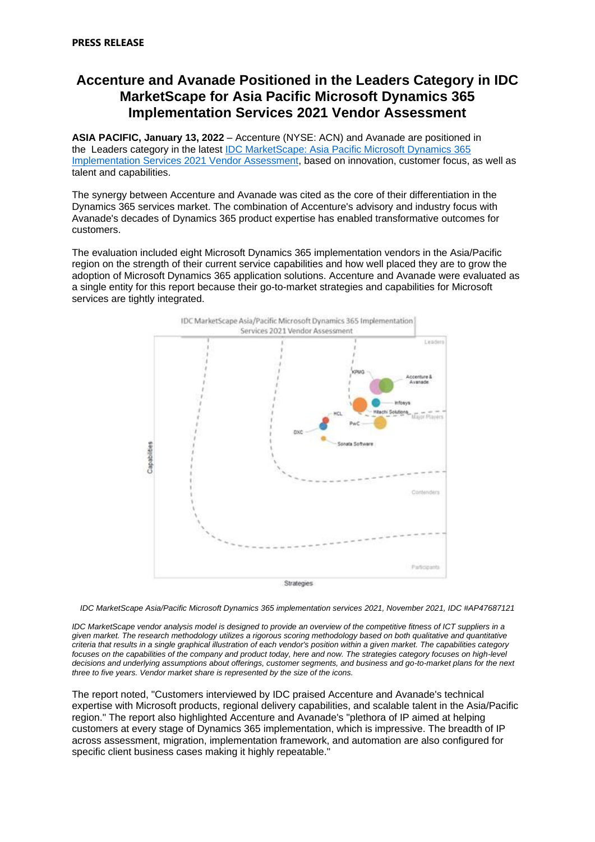# **Accenture and Avanade Positioned in the Leaders Category in IDC MarketScape for Asia Pacific Microsoft Dynamics 365 Implementation Services 2021 Vendor Assessment**

**ASIA PACIFIC, January 13, 2022** – Accenture (NYSE: ACN) and Avanade are positioned in the Leaders category in the latest [IDC MarketScape: Asia Pacific Microsoft Dynamics 365](https://www.avanade.com/en/thinking/research-and-insights/microsoft-dynamics-implementation-services-leader)  [Implementation Services 2021 Vendor Assessment,](https://www.avanade.com/en/thinking/research-and-insights/microsoft-dynamics-implementation-services-leader) based on innovation, customer focus, as well as talent and capabilities.

The synergy between Accenture and Avanade was cited as the core of their differentiation in the Dynamics 365 services market. The combination of Accenture's advisory and industry focus with Avanade's decades of Dynamics 365 product expertise has enabled transformative outcomes for customers.

The evaluation included eight Microsoft Dynamics 365 implementation vendors in the Asia/Pacific region on the strength of their current service capabilities and how well placed they are to grow the adoption of Microsoft Dynamics 365 application solutions. Accenture and Avanade were evaluated as a single entity for this report because their go-to-market strategies and capabilities for Microsoft services are tightly integrated.



*IDC MarketScape Asia/Pacific Microsoft Dynamics 365 implementation services 2021, November 2021, IDC #AP47687121*

*IDC MarketScape vendor analysis model is designed to provide an overview of the competitive fitness of ICT suppliers in a given market. The research methodology utilizes a rigorous scoring methodology based on both qualitative and quantitative criteria that results in a single graphical illustration of each vendor's position within a given market. The capabilities category*  focuses on the capabilities of the company and product today, here and now. The strategies category focuses on high-level *decisions and underlying assumptions about offerings, customer segments, and business and go-to-market plans for the next three to five years. Vendor market share is represented by the size of the icons.*

The report noted, "Customers interviewed by IDC praised Accenture and Avanade's technical expertise with Microsoft products, regional delivery capabilities, and scalable talent in the Asia/Pacific region." The report also highlighted Accenture and Avanade's "plethora of IP aimed at helping customers at every stage of Dynamics 365 implementation, which is impressive. The breadth of IP across assessment, migration, implementation framework, and automation are also configured for specific client business cases making it highly repeatable."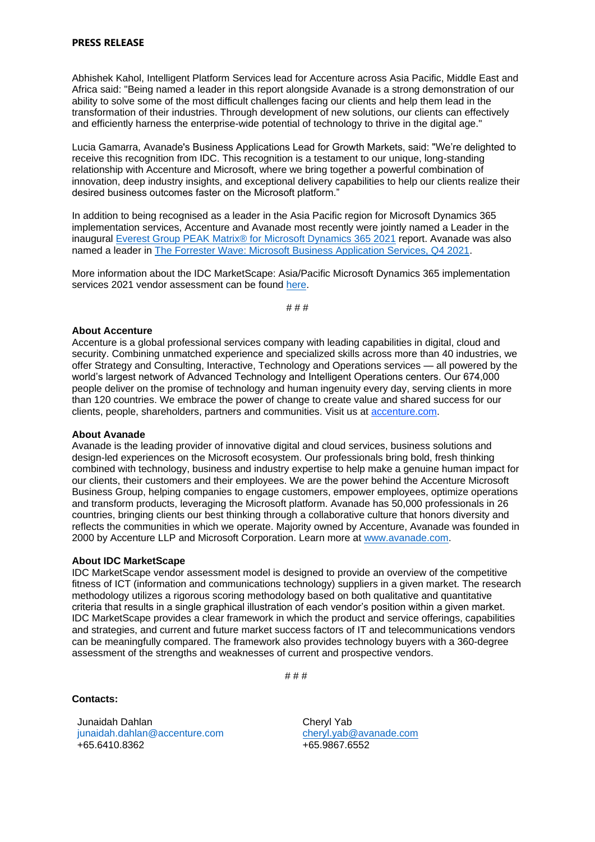Abhishek Kahol, Intelligent Platform Services lead for Accenture across Asia Pacific, Middle East and Africa said: "Being named a leader in this report alongside Avanade is a strong demonstration of our ability to solve some of the most difficult challenges facing our clients and help them lead in the transformation of their industries. Through development of new solutions, our clients can effectively and efficiently harness the enterprise-wide potential of technology to thrive in the digital age."

Lucia Gamarra, Avanade's Business Applications Lead for Growth Markets, said: "We're delighted to receive this recognition from IDC. This recognition is a testament to our unique, long-standing relationship with Accenture and Microsoft, where we bring together a powerful combination of innovation, deep industry insights, and exceptional delivery capabilities to help our clients realize their desired business outcomes faster on the Microsoft platform."

In addition to being recognised as a leader in the Asia Pacific region for Microsoft Dynamics 365 implementation services, Accenture and Avanade most recently were jointly named a Leader in the inaugural Everest Group PEAK [Matrix® for Microsoft Dynamics 365 2021](https://www.avanade.com/en/media-center/press-releases/2021-avanade-leader-peak-matrix-report) report. Avanade was also named a leader in [The Forrester Wave: Microsoft Business Application Services, Q4 2021.](https://www.avanade.com/en/media-center/press-releases/2021-forrester-wave-leader)

More information about the IDC MarketScape: Asia/Pacific Microsoft Dynamics 365 implementation services 2021 vendor assessment can be found [here.](https://www.avanade.com/en/thinking/research-and-insights/microsoft-dynamics-implementation-services-leader)

# # #

## **About Accenture**

Accenture is a global professional services company with leading capabilities in digital, cloud and security. Combining unmatched experience and specialized skills across more than 40 industries, we offer Strategy and Consulting, Interactive, Technology and Operations services — all powered by the world's largest network of Advanced Technology and Intelligent Operations centers. Our 674,000 people deliver on the promise of technology and human ingenuity every day, serving clients in more than 120 countries. We embrace the power of change to create value and shared success for our clients, people, shareholders, partners and communities. Visit us at [accenture.com.](https://nam11.safelinks.protection.outlook.com/?url=http%3A%2F%2Fwww.accenture.com%2F&data=04%7C01%7Ccheryl.yab%40avanade.com%7C1de03d0e200f4b1798e908d9d4996f72%7Ccf36141cddd745a7b073111f66d0b30c%7C0%7C0%7C637774577756445985%7CUnknown%7CTWFpbGZsb3d8eyJWIjoiMC4wLjAwMDAiLCJQIjoiV2luMzIiLCJBTiI6Ik1haWwiLCJXVCI6Mn0%3D%7C3000&sdata=igpMGRPzV3ZWEQDn95SrWNw42u0%2BimXfTWEu1PBwYoI%3D&reserved=0)

### **About Avanade**

Avanade is the leading provider of innovative digital and cloud services, business solutions and design-led experiences on the Microsoft ecosystem. Our professionals bring bold, fresh thinking combined with technology, business and industry expertise to help make a genuine human impact for our clients, their customers and their employees. We are the power behind the Accenture Microsoft Business Group, helping companies to engage customers, empower employees, optimize operations and transform products, leveraging the Microsoft platform. Avanade has 50,000 professionals in 26 countries, bringing clients our best thinking through a collaborative culture that honors diversity and reflects the communities in which we operate. Majority owned by Accenture, Avanade was founded in 2000 by Accenture LLP and Microsoft Corporation. Learn more at [www.avanade.com.](https://nam11.safelinks.protection.outlook.com/?url=http%3A%2F%2Fwww.avanade.com%2F&data=04%7C01%7Ccheryl.yab%40avanade.com%7C1de03d0e200f4b1798e908d9d4996f72%7Ccf36141cddd745a7b073111f66d0b30c%7C0%7C0%7C637774577756445985%7CUnknown%7CTWFpbGZsb3d8eyJWIjoiMC4wLjAwMDAiLCJQIjoiV2luMzIiLCJBTiI6Ik1haWwiLCJXVCI6Mn0%3D%7C3000&sdata=lz4UFM%2FhOiPUZDtI9LOolU1nF%2F3WArthqbASeb0A2hY%3D&reserved=0)

#### **About IDC MarketScape**

IDC MarketScape vendor assessment model is designed to provide an overview of the competitive fitness of ICT (information and communications technology) suppliers in a given market. The research methodology utilizes a rigorous scoring methodology based on both qualitative and quantitative criteria that results in a single graphical illustration of each vendor's position within a given market. IDC MarketScape provides a clear framework in which the product and service offerings, capabilities and strategies, and current and future market success factors of IT and telecommunications vendors can be meaningfully compared. The framework also provides technology buyers with a 360-degree assessment of the strengths and weaknesses of current and prospective vendors.

# # #

**Contacts:**

Junaidah Dahlan [junaidah.dahlan@accenture.com](mailto:junaidah.dahlan@accenture.com) +65.6410.8362

Cheryl Yab [cheryl.yab@avanade.com](mailto:cheryl.yab@avanade.com) +65.9867.6552